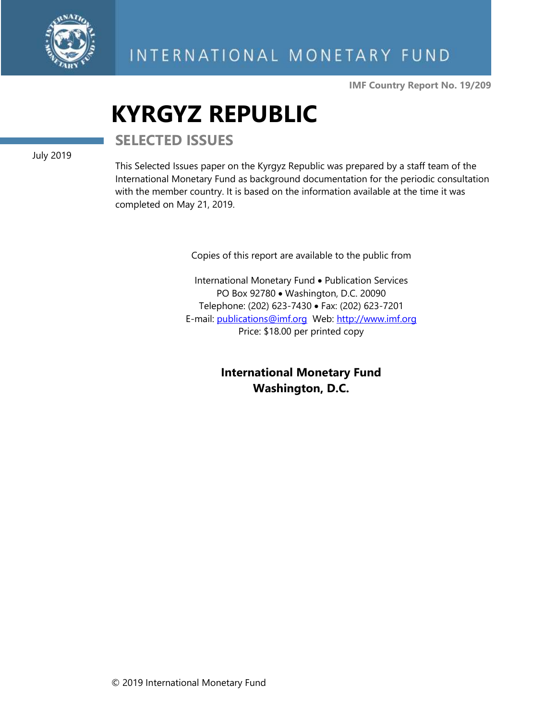

**IMF Country Report No. 19/209**

# **KYRGYZ REPUBLIC**

**SELECTED ISSUES**

July 2019

This Selected Issues paper on the Kyrgyz Republic was prepared by a staff team of the International Monetary Fund as background documentation for the periodic consultation with the member country. It is based on the information available at the time it was completed on May 21, 2019.

Copies of this report are available to the public from

International Monetary Fund • Publication Services PO Box 92780 • Washington, D.C. 20090 Telephone: (202) 623-7430 • Fax: (202) 623-7201 E-mail: [publications@imf.org](mailto:publications@imf.org) Web: [http://www.imf.org](http://www.imf.org/) Price: \$18.00 per printed copy

> **International Monetary Fund Washington, D.C.**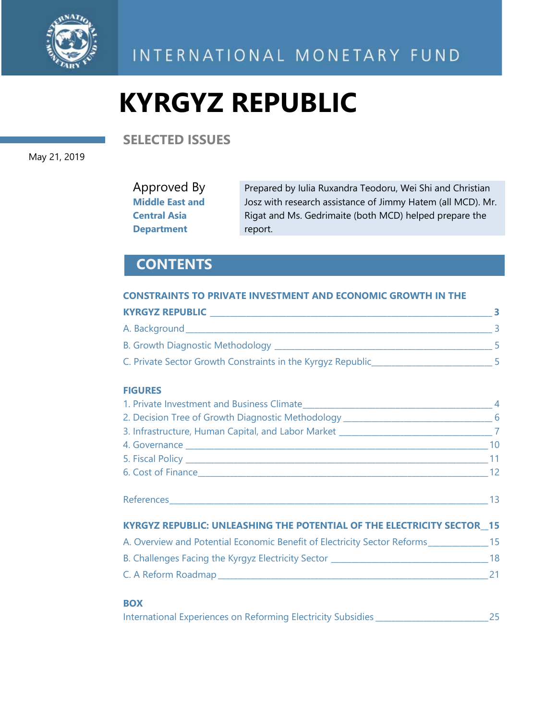

INTERNATIONAL MONETARY FUND

# **KYRGYZ REPUBLIC**

**SELECTED ISSUES**

May 21, 2019

Approved By **Middle East and Central Asia Department**

Prepared by Iulia Ruxandra Teodoru, Wei Shi and Christian Josz with research assistance of Jimmy Hatem (all MCD). Mr. Rigat and Ms. Gedrimaite (both MCD) helped prepare the report.

### **CONTENTS**

### **CONSTRAINTS TO PRIVATE INVESTMENT AND ECONOMIC GROWTH IN THE**

| <b>KYRGYZ REPUBLIC</b>                                      |  |
|-------------------------------------------------------------|--|
| A. Background                                               |  |
| B. Growth Diagnostic Methodology _                          |  |
| C. Private Sector Growth Constraints in the Kyrgyz Republic |  |

### **FIGURES**

| 2. Decision Tree of Growth Diagnostic Methodology ______________________________6       |  |
|-----------------------------------------------------------------------------------------|--|
|                                                                                         |  |
|                                                                                         |  |
|                                                                                         |  |
| $\sim$ 12                                                                               |  |
|                                                                                         |  |
| <b>KYRGYZ REPUBLIC: UNLEASHING THE POTENTIAL OF THE ELECTRICITY SECTOR 15</b>           |  |
| A. Overview and Potential Economic Benefit of Electricity Sector Reforms_____________15 |  |
|                                                                                         |  |
|                                                                                         |  |
|                                                                                         |  |

### **BOX**

| International Experiences on Reforming Electricity Subsidies |  |  |  |  |  |
|--------------------------------------------------------------|--|--|--|--|--|
|--------------------------------------------------------------|--|--|--|--|--|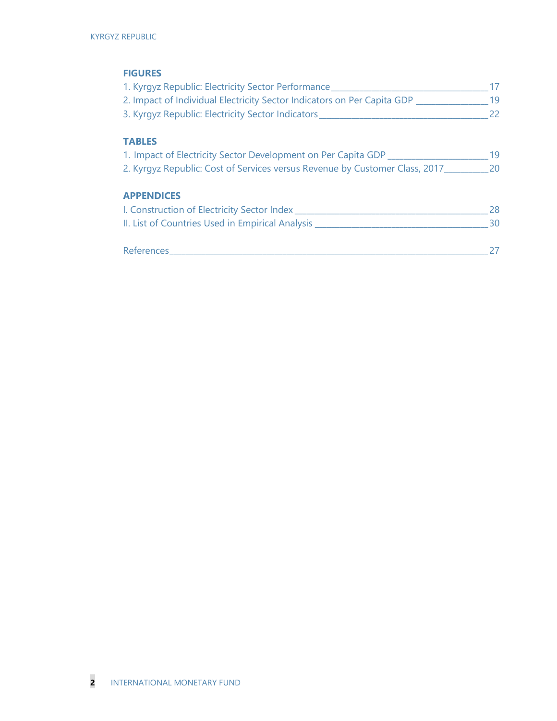### **FIGURES**

| 1. Kyrgyz Republic: Electricity Sector Performance                          | 17 |
|-----------------------------------------------------------------------------|----|
| 2. Impact of Individual Electricity Sector Indicators on Per Capita GDP     | 19 |
| 3. Kyrgyz Republic: Electricity Sector Indicators_                          | 22 |
| <b>TABLES</b>                                                               |    |
| 1. Impact of Electricity Sector Development on Per Capita GDP               | 19 |
| 2. Kyrgyz Republic: Cost of Services versus Revenue by Customer Class, 2017 | 20 |
| <b>APPENDICES</b>                                                           |    |
| I. Construction of Electricity Sector Index                                 | 28 |
| II. List of Countries Used in Empirical Analysis __                         | 30 |
| References                                                                  |    |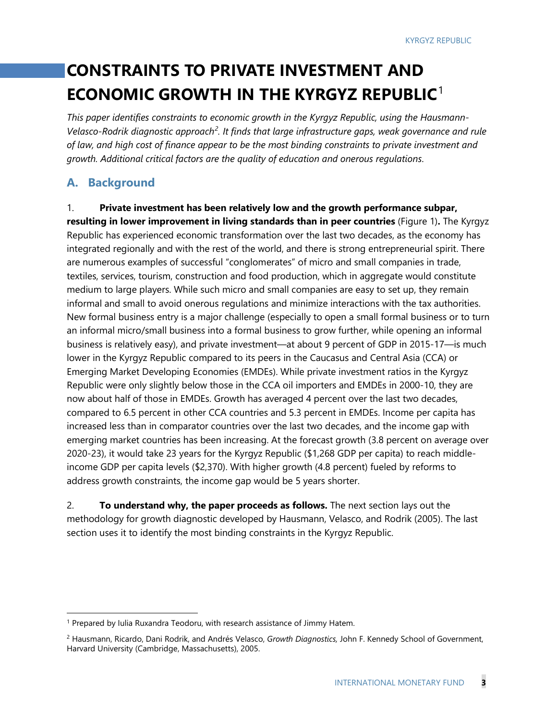## **CONSTRAINTS TO PRIVATE INVESTMENT AND ECONOMIC GROWTH IN THE KYRGYZ REPUBLIC**[1](#page-3-0)

*This paper identifies constraints to economic growth in the Kyrgyz Republic, using the Hausmann-Velasco-Rodrik diagnostic approach[2](#page-3-1) . It finds that large infrastructure gaps, weak governance and rule of law, and high cost of finance appear to be the most binding constraints to private investment and growth. Additional critical factors are the quality of education and onerous regulations*.

### **A. Background**

1. **Private investment has been relatively low and the growth performance subpar, resulting in lower improvement in living standards than in peer countries** (Figure 1)**.** The Kyrgyz Republic has experienced economic transformation over the last two decades, as the economy has integrated regionally and with the rest of the world, and there is strong entrepreneurial spirit. There are numerous examples of successful "conglomerates" of micro and small companies in trade, textiles, services, tourism, construction and food production, which in aggregate would constitute medium to large players. While such micro and small companies are easy to set up, they remain informal and small to avoid onerous regulations and minimize interactions with the tax authorities. New formal business entry is a major challenge (especially to open a small formal business or to turn an informal micro/small business into a formal business to grow further, while opening an informal business is relatively easy), and private investment—at about 9 percent of GDP in 2015-17—is much lower in the Kyrgyz Republic compared to its peers in the Caucasus and Central Asia (CCA) or Emerging Market Developing Economies (EMDEs). While private investment ratios in the Kyrgyz Republic were only slightly below those in the CCA oil importers and EMDEs in 2000-10, they are now about half of those in EMDEs. Growth has averaged 4 percent over the last two decades, compared to 6.5 percent in other CCA countries and 5.3 percent in EMDEs. Income per capita has increased less than in comparator countries over the last two decades, and the income gap with emerging market countries has been increasing. At the forecast growth (3.8 percent on average over 2020-23), it would take 23 years for the Kyrgyz Republic (\$1,268 GDP per capita) to reach middleincome GDP per capita levels (\$2,370). With higher growth (4.8 percent) fueled by reforms to address growth constraints, the income gap would be 5 years shorter.

2. **To understand why, the paper proceeds as follows.** The next section lays out the methodology for growth diagnostic developed by Hausmann, Velasco, and Rodrik (2005). The last section uses it to identify the most binding constraints in the Kyrgyz Republic.

<span id="page-3-0"></span><sup>&</sup>lt;sup>1</sup> Prepared by Iulia Ruxandra Teodoru, with research assistance of Jimmy Hatem.

<span id="page-3-1"></span><sup>2</sup> Hausmann, Ricardo, Dani Rodrik, and Andrés Velasco, *Growth Diagnostics,* John F. Kennedy School of Government, Harvard University (Cambridge, Massachusetts), 2005.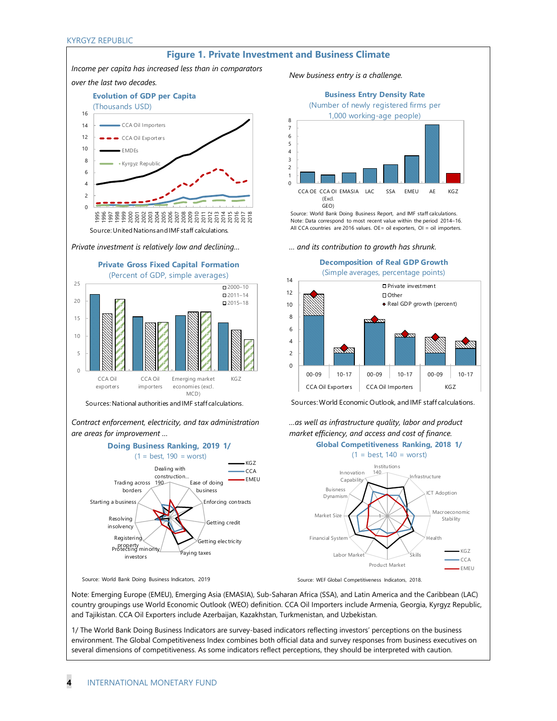

Sources: National authorities and IMF staff calculations.

*Contract enforcement, electricity, and tax administration are areas for improvement …*









0  $\overline{2}$ 4 6 8 10 12 14 00-09 10-17 00-09 10-17 00-09 10-17 CCA Oil Exporters | CCA Oil Importers | KGZ Private investment Other Real GDP growth (percent) **Decomposition of Real GDP Growth** (Simple averages, percentage points)

Sources:World Economic Outlook, and IMF staff calculations.

*…as well as infrastructure quality, labor and product* 



Source: WEF Global Competitiveness Indicators, 2018.

Note: Emerging Europe (EMEU), Emerging Asia (EMASIA), Sub-Saharan Africa (SSA), and Latin America and the Caribbean (LAC) country groupings use World Economic Outlook (WEO) definition. CCA Oil Importers include Armenia, Georgia, Kyrgyz Republic, and Tajikistan. CCA Oil Exporters include Azerbaijan, Kazakhstan, Turkmenistan, and Uzbekistan.

1/ The World Bank Doing Business Indicators are survey-based indicators reflecting investors' perceptions on the business environment. The Global Competitiveness Index combines both official data and survey responses from business executives on several dimensions of competitiveness. As some indicators reflect perceptions, they should be interpreted with caution.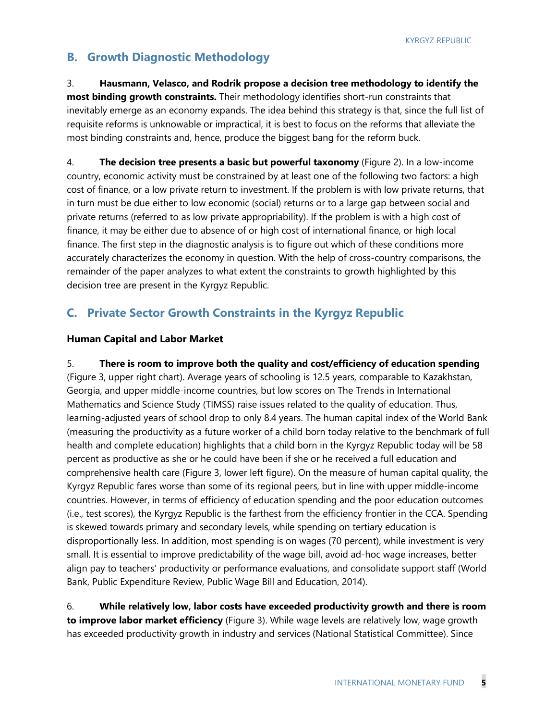### **B. Growth Diagnostic Methodology**

3. **Hausmann, Velasco, and Rodrik propose a decision tree methodology to identify the most binding growth constraints.** Their methodology identifies short-run constraints that inevitably emerge as an economy expands. The idea behind this strategy is that, since the full list of requisite reforms is unknowable or impractical, it is best to focus on the reforms that alleviate the most binding constraints and, hence, produce the biggest bang for the reform buck.

4. **The decision tree presents a basic but powerful taxonomy** (Figure 2). In a low-income country, economic activity must be constrained by at least one of the following two factors: a high cost of finance, or a low private return to investment. If the problem is with low private returns, that in turn must be due either to low economic (social) returns or to a large gap between social and private returns (referred to as low private appropriability). If the problem is with a high cost of finance, it may be either due to absence of or high cost of international finance, or high local finance. The first step in the diagnostic analysis is to figure out which of these conditions more accurately characterizes the economy in question. With the help of cross-country comparisons, the remainder of the paper analyzes to what extent the constraints to growth highlighted by this decision tree are present in the Kyrgyz Republic.

### **C. Private Sector Growth Constraints in the Kyrgyz Republic**

### **Human Capital and Labor Market**

5. **There is room to improve both the quality and cost/efficiency of education spending** (Figure 3, upper right chart). Average years of schooling is 12.5 years, comparable to Kazakhstan, Georgia, and upper middle-income countries, but low scores on The Trends in International Mathematics and Science Study (TIMSS) raise issues related to the quality of education. Thus, learning-adjusted years of school drop to only 8.4 years. The human capital index of the World Bank (measuring the productivity as a future worker of a child born today relative to the benchmark of full health and complete education) highlights that a child born in the Kyrgyz Republic today will be 58 percent as productive as she or he could have been if she or he received a full education and comprehensive health care (Figure 3, lower left figure). On the measure of human capital quality, the Kyrgyz Republic fares worse than some of its regional peers, but in line with upper middle-income countries. However, in terms of efficiency of education spending and the poor education outcomes (i.e., test scores), the Kyrgyz Republic is the farthest from the efficiency frontier in the CCA. Spending is skewed towards primary and secondary levels, while spending on tertiary education is disproportionally less. In addition, most spending is on wages (70 percent), while investment is very small. It is essential to improve predictability of the wage bill, avoid ad-hoc wage increases, better align pay to teachers' productivity or performance evaluations, and consolidate support staff (World Bank, Public Expenditure Review, Public Wage Bill and Education, 2014).

6. **While relatively low, labor costs have exceeded productivity growth and there is room to improve labor market efficiency** (Figure 3). While wage levels are relatively low, wage growth has exceeded productivity growth in industry and services (National Statistical Committee). Since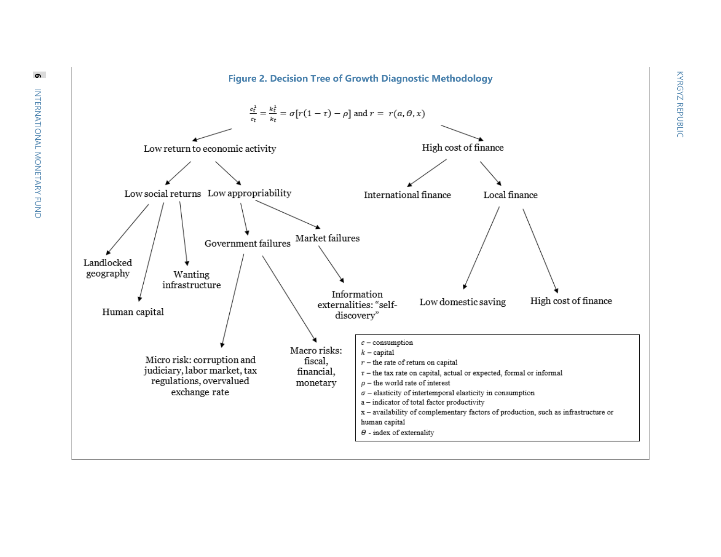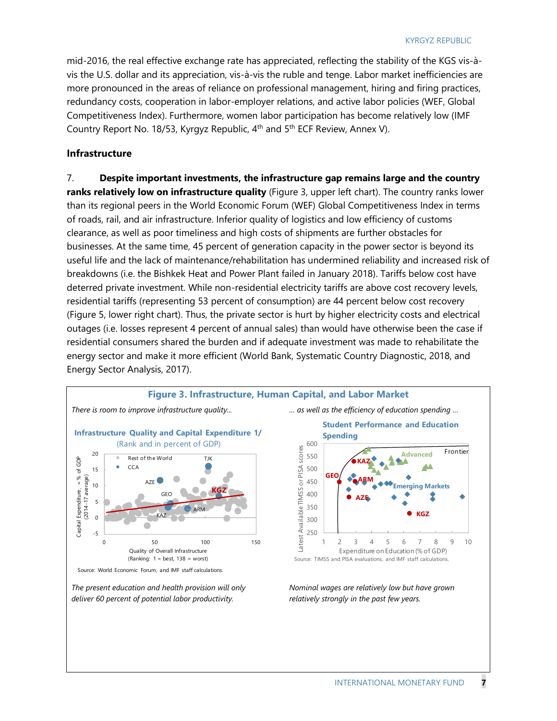mid-2016, the real effective exchange rate has appreciated, reflecting the stability of the KGS vis-àvis the U.S. dollar and its appreciation, vis-à-vis the ruble and tenge. Labor market inefficiencies are more pronounced in the areas of reliance on professional management, hiring and firing practices, redundancy costs, cooperation in labor-employer relations, and active labor policies (WEF, Global Competitiveness Index). Furthermore, women labor participation has become relatively low (IMF Country Report No. 18/53, Kyrgyz Republic, 4<sup>th</sup> and 5<sup>th</sup> ECF Review, Annex V).

### **Infrastructure**

7. **Despite important investments, the infrastructure gap remains large and the country ranks relatively low on infrastructure quality** (Figure 3, upper left chart). The country ranks lower than its regional peers in the World Economic Forum (WEF) Global Competitiveness Index in terms of roads, rail, and air infrastructure. Inferior quality of logistics and low efficiency of customs clearance, as well as poor timeliness and high costs of shipments are further obstacles for businesses. At the same time, 45 percent of generation capacity in the power sector is beyond its useful life and the lack of maintenance/rehabilitation has undermined reliability and increased risk of breakdowns (i.e. the Bishkek Heat and Power Plant failed in January 2018). Tariffs below cost have deterred private investment. While non-residential electricity tariffs are above cost recovery levels, residential tariffs (representing 53 percent of consumption) are 44 percent below cost recovery (Figure 5, lower right chart). Thus, the private sector is hurt by higher electricity costs and electrical outages (i.e. losses represent 4 percent of annual sales) than would have otherwise been the case if residential consumers shared the burden and if adequate investment was made to rehabilitate the energy sector and make it more efficient (World Bank, Systematic Country Diagnostic, 2018, and Energy Sector Analysis, 2017).

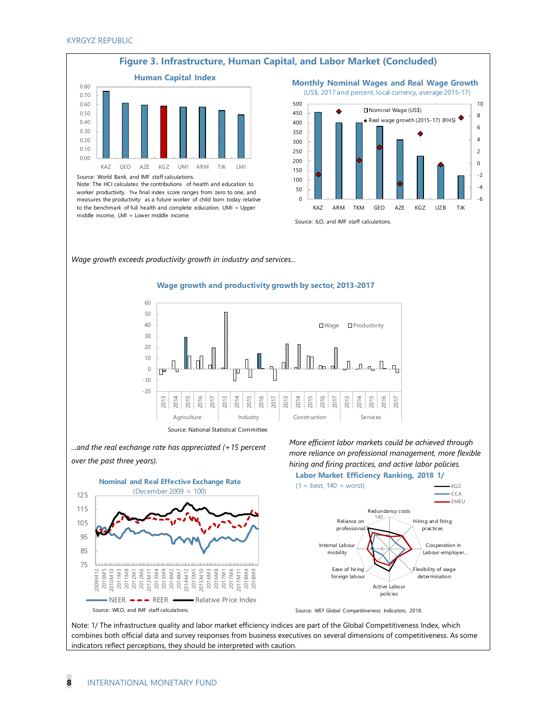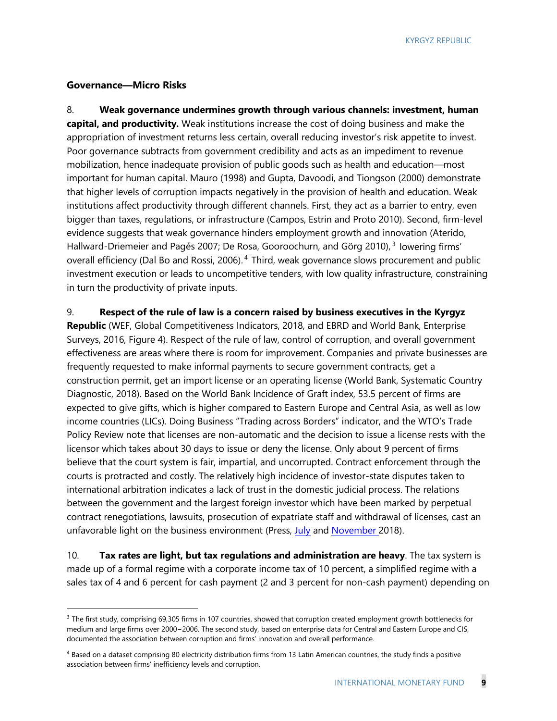### **Governance—Micro Risks**

8. **Weak governance undermines growth through various channels: investment, human capital, and productivity.** Weak institutions increase the cost of doing business and make the appropriation of investment returns less certain, overall reducing investor's risk appetite to invest. Poor governance subtracts from government credibility and acts as an impediment to revenue mobilization, hence inadequate provision of public goods such as health and education—most important for human capital. Mauro (1998) and Gupta, Davoodi, and Tiongson (2000) demonstrate that higher levels of corruption impacts negatively in the provision of health and education. Weak institutions affect productivity through different channels. First, they act as a barrier to entry, even bigger than taxes, regulations, or infrastructure (Campos, Estrin and Proto 2010). Second, firm-level evidence suggests that weak governance hinders employment growth and innovation (Aterido, Hallward-Driemeier and Pagés 2007; De Rosa, Gooroochurn, and Görg 20[1](#page-9-0)0), <sup>3</sup> lowering firms' overall efficiency (Dal Bo and Rossi, [2](#page-9-1)006).<sup>4</sup> Third, weak governance slows procurement and public investment execution or leads to uncompetitive tenders, with low quality infrastructure, constraining in turn the productivity of private inputs.

9. **Respect of the rule of law is a concern raised by business executives in the Kyrgyz** 

**Republic** (WEF, Global Competitiveness Indicators, 2018, and EBRD and World Bank, Enterprise Surveys, 2016, Figure 4). Respect of the rule of law, control of corruption, and overall government effectiveness are areas where there is room for improvement. Companies and private businesses are frequently requested to make informal payments to secure government contracts, get a construction permit, get an import license or an operating license (World Bank, Systematic Country Diagnostic, 2018). Based on the World Bank Incidence of Graft index, 53.5 percent of firms are expected to give gifts, which is higher compared to Eastern Europe and Central Asia, as well as low income countries (LICs). Doing Business "Trading across Borders" indicator, and the WTO's Trade Policy Review note that licenses are non-automatic and the decision to issue a license rests with the licensor which takes about 30 days to issue or deny the license. Only about 9 percent of firms believe that the court system is fair, impartial, and uncorrupted. Contract enforcement through the courts is protracted and costly. The relatively high incidence of investor-state disputes taken to international arbitration indicates a lack of trust in the domestic judicial process. The relations between the government and the largest foreign investor which have been marked by perpetual contract renegotiations, lawsuits, prosecution of expatriate staff and withdrawal of licenses, cast an unfavorable light on the business environment (Press, [July](https://24.kg/english/91501_New_games_around_Kumtor_What_they_may_lead_to_in_Kyrgyzstan/) and [November](https://24.kg/english/100445_Sensitive_points_of_investment_climate_in_Kyrgyzstan_What_are_we_doing_wrong/) 2018).

10. **Tax rates are light, but tax regulations and administration are heavy**. The tax system is made up of a formal regime with a corporate income tax of 10 percent, a simplified regime with a sales tax of 4 and 6 percent for cash payment (2 and 3 percent for non-cash payment) depending on

<span id="page-9-0"></span> $3$  The first study, comprising 69,305 firms in 107 countries, showed that corruption created employment growth bottlenecks for medium and large firms over 2000−2006. The second study, based on enterprise data for Central and Eastern Europe and CIS, documented the association between corruption and firms' innovation and overall performance.

<span id="page-9-1"></span><sup>&</sup>lt;sup>4</sup> Based on a dataset comprising 80 electricity distribution firms from 13 Latin American countries, the study finds a positive association between firms' inefficiency levels and corruption.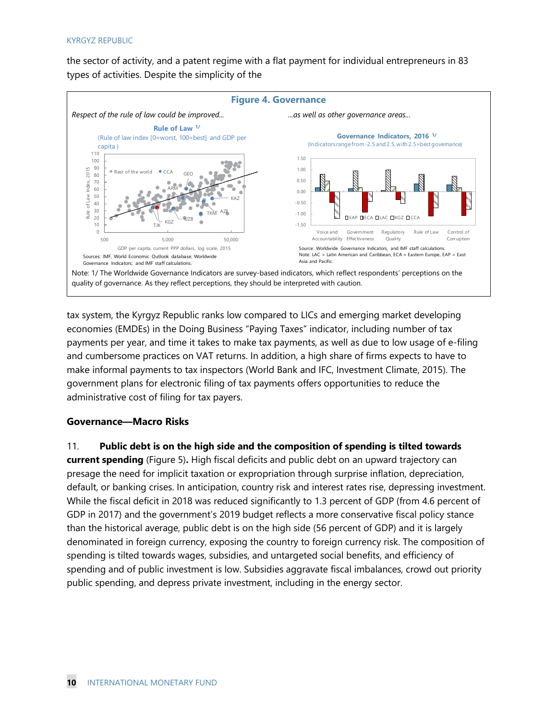the sector of activity, and a patent regime with a flat payment for individual entrepreneurs in 83 types of activities. Despite the simplicity of the



tax system, the Kyrgyz Republic ranks low compared to LICs and emerging market developing economies (EMDEs) in the Doing Business "Paying Taxes" indicator, including number of tax payments per year, and time it takes to make tax payments, as well as due to low usage of e-filing and cumbersome practices on VAT returns. In addition, a high share of firms expects to have to make informal payments to tax inspectors (World Bank and IFC, Investment Climate, 2015). The government plans for electronic filing of tax payments offers opportunities to reduce the administrative cost of filing for tax payers.

### **Governance—Macro Risks**

11. **Public debt is on the high side and the composition of spending is tilted towards current spending** (Figure 5)**.** High fiscal deficits and public debt on an upward trajectory can presage the need for implicit taxation or expropriation through surprise inflation, depreciation, default, or banking crises. In anticipation, country risk and interest rates rise, depressing investment. While the fiscal deficit in 2018 was reduced significantly to 1.3 percent of GDP (from 4.6 percent of GDP in 2017) and the government's 2019 budget reflects a more conservative fiscal policy stance than the historical average, public debt is on the high side (56 percent of GDP) and it is largely denominated in foreign currency, exposing the country to foreign currency risk. The composition of spending is tilted towards wages, subsidies, and untargeted social benefits, and efficiency of spending and of public investment is low. Subsidies aggravate fiscal imbalances, crowd out priority public spending, and depress private investment, including in the energy sector.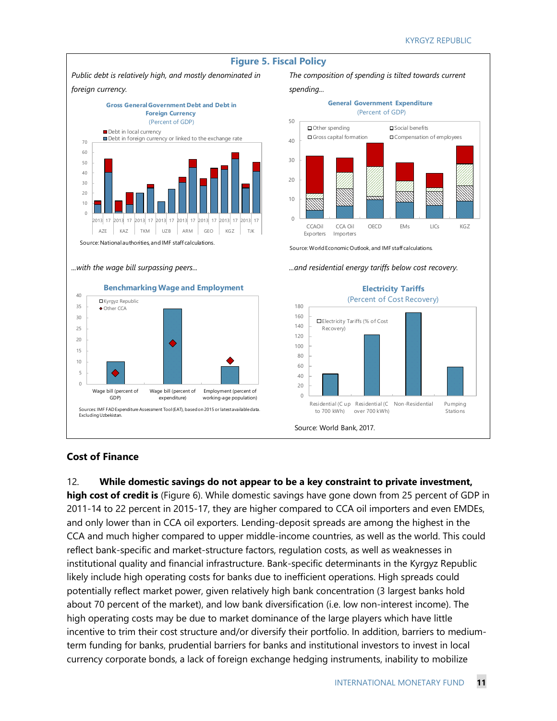

### **Cost of Finance**

12. **While domestic savings do not appear to be a key constraint to private investment, high cost of credit is** (Figure 6). While domestic savings have gone down from 25 percent of GDP in 2011-14 to 22 percent in 2015-17, they are higher compared to CCA oil importers and even EMDEs, and only lower than in CCA oil exporters. Lending-deposit spreads are among the highest in the CCA and much higher compared to upper middle-income countries, as well as the world. This could reflect bank-specific and market-structure factors, regulation costs, as well as weaknesses in institutional quality and financial infrastructure. Bank-specific determinants in the Kyrgyz Republic likely include high operating costs for banks due to inefficient operations. High spreads could potentially reflect market power, given relatively high bank concentration (3 largest banks hold about 70 percent of the market), and low bank diversification (i.e. low non-interest income). The high operating costs may be due to market dominance of the large players which have little incentive to trim their cost structure and/or diversify their portfolio. In addition, barriers to mediumterm funding for banks, prudential barriers for banks and institutional investors to invest in local currency corporate bonds, a lack of foreign exchange hedging instruments, inability to mobilize

INTERNATIONAL MONETARY FUND **11**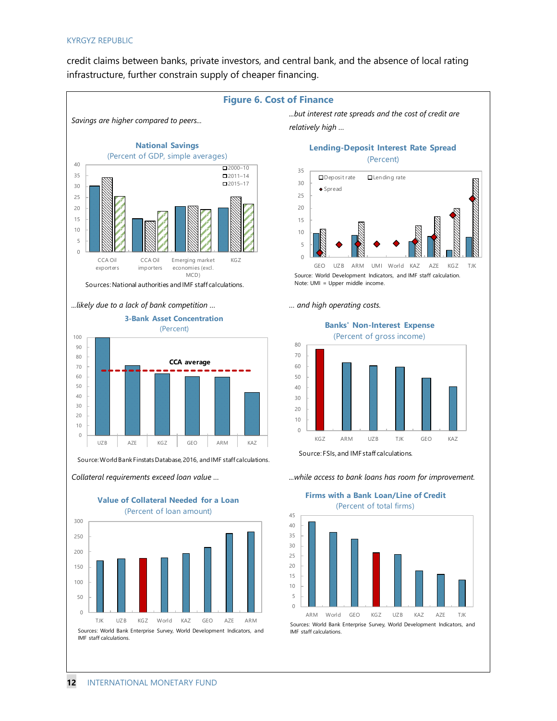credit claims between banks, private investors, and central bank, and the absence of local rating infrastructure, further constrain supply of cheaper financing.

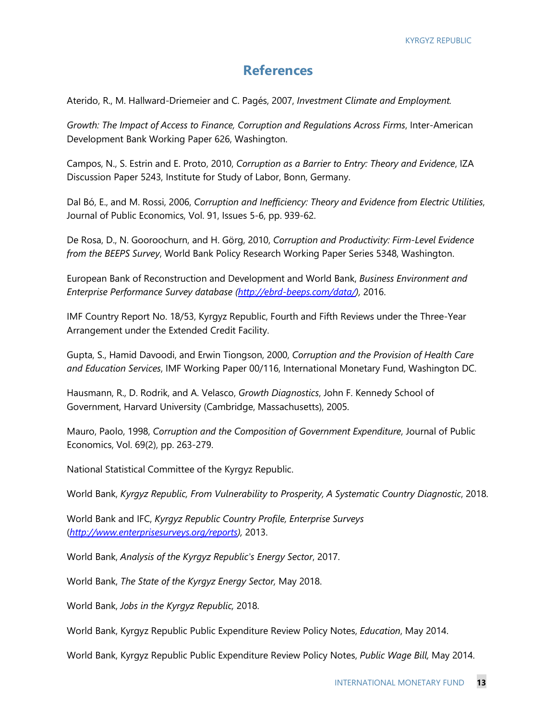### **References**

Aterido, R., M. Hallward-Driemeier and C. Pagés, 2007, *Investment Climate and Employment.*

*Growth: The Impact of Access to Finance, Corruption and Regulations Across Firms*, Inter-American Development Bank Working Paper 626, Washington.

Campos, N., S. Estrin and E. Proto, 2010, *Corruption as a Barrier to Entry: Theory and Evidence*, IZA Discussion Paper 5243, Institute for Study of Labor, Bonn, Germany.

Dal Bó, E., and M. Rossi, 2006, *Corruption and Inefficiency: Theory and Evidence from Electric Utilities*, Journal of Public Economics, Vol. 91, Issues 5-6, pp. 939-62.

De Rosa, D., N. Gooroochurn, and H. Görg, 2010, *Corruption and Productivity: Firm-Level Evidence from the BEEPS Survey*, World Bank Policy Research Working Paper Series 5348, Washington.

European Bank of Reconstruction and Development and World Bank, *Business Environment and Enterprise Performance Survey database [\(http://ebrd-beeps.com/data/\)](http://ebrd-beeps.com/data/),* 2016.

IMF Country Report No. 18/53, Kyrgyz Republic, Fourth and Fifth Reviews under the Three-Year Arrangement under the Extended Credit Facility.

Gupta, S., Hamid Davoodi, and Erwin Tiongson, 2000, *Corruption and the Provision of Health Care and Education Services*, IMF Working Paper 00/116, International Monetary Fund, Washington DC.

Hausmann, R., D. Rodrik, and A. Velasco, *Growth Diagnostics*, John F. Kennedy School of Government, Harvard University (Cambridge, Massachusetts), 2005.

Mauro, Paolo, 1998, *Corruption and the Composition of Government Expenditure*, Journal of Public Economics, Vol. 69(2), pp. 263-279.

National Statistical Committee of the Kyrgyz Republic.

World Bank, *Kyrgyz Republic, From Vulnerability to Prosperity, A Systematic Country Diagnostic*, 2018.

World Bank and IFC, *Kyrgyz Republic Country Profile, Enterprise Surveys* (*[http://www.enterprisesurveys.org/reports\)](http://www.enterprisesurveys.org/reports),* 2013.

World Bank, *Analysis of the Kyrgyz Republic's Energy Sector*, 2017.

World Bank, *The State of the Kyrgyz Energy Sector,* May 2018.

World Bank, *Jobs in the Kyrgyz Republic,* 2018.

World Bank, Kyrgyz Republic Public Expenditure Review Policy Notes, *Education*, May 2014.

World Bank, Kyrgyz Republic Public Expenditure Review Policy Notes, *Public Wage Bill,* May 2014.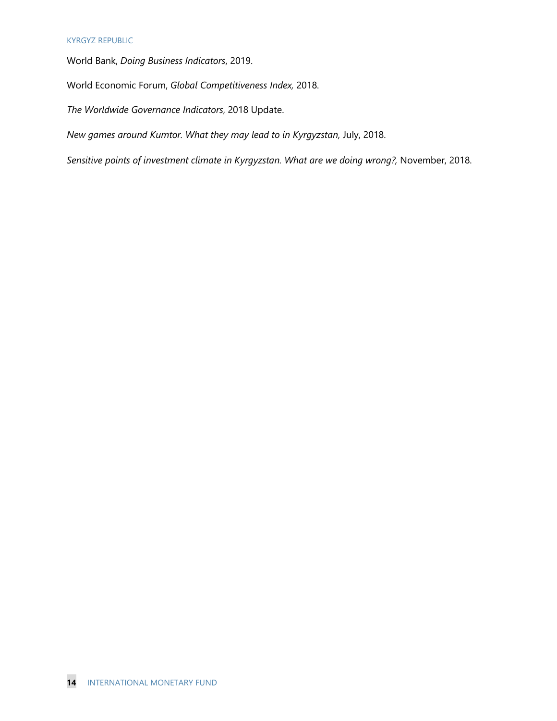World Bank, *Doing Business Indicators*, 2019.

World Economic Forum, *Global Competitiveness Index,* 2018.

*The Worldwide Governance Indicators*, 2018 Update.

*New games around Kumtor. What they may lead to in Kyrgyzstan,* July, 2018.

*Sensitive points of investment climate in Kyrgyzstan. What are we doing wrong?,* November, 2018.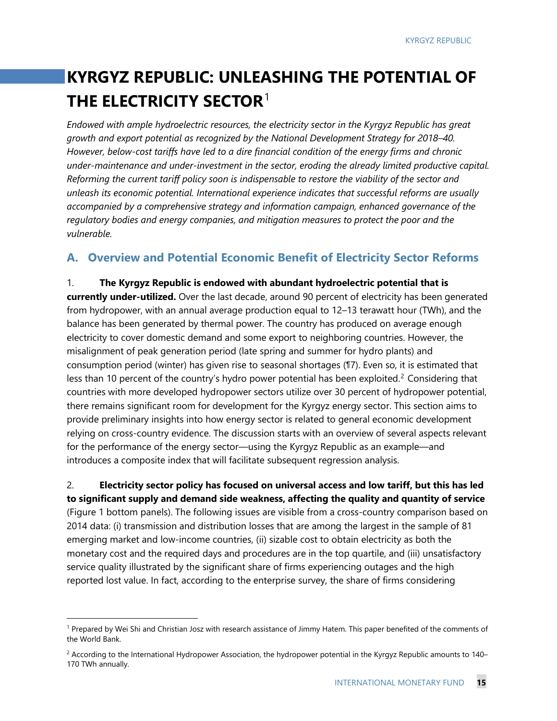## **KYRGYZ REPUBLIC: UNLEASHING THE POTENTIAL OF THE ELECTRICITY SECTOR**[1](#page-15-0)

*Endowed with ample hydroelectric resources, the electricity sector in the Kyrgyz Republic has great growth and export potential as recognized by the National Development Strategy for 2018–40. However, below-cost tariffs have led to a dire financial condition of the energy firms and chronic under-maintenance and under-investment in the sector, eroding the already limited productive capital. Reforming the current tariff policy soon is indispensable to restore the viability of the sector and unleash its economic potential. International experience indicates that successful reforms are usually accompanied by a comprehensive strategy and information campaign, enhanced governance of the regulatory bodies and energy companies, and mitigation measures to protect the poor and the vulnerable.*

### **A. Overview and Potential Economic Benefit of Electricity Sector Reforms**

1. **The Kyrgyz Republic is endowed with abundant hydroelectric potential that is currently under-utilized.** Over the last decade, around 90 percent of electricity has been generated from hydropower, with an annual average production equal to 12–13 terawatt hour (TWh), and the balance has been generated by thermal power. The country has produced on average enough electricity to cover domestic demand and some export to neighboring countries. However, the misalignment of peak generation period (late spring and summer for hydro plants) and consumption period (winter) has given rise to seasonal shortages (¶7). Even so, it is estimated that less than 10 percent of the country's hydro power potential has been exploited.<sup>[2](#page-15-1)</sup> Considering that countries with more developed hydropower sectors utilize over 30 percent of hydropower potential, there remains significant room for development for the Kyrgyz energy sector. This section aims to provide preliminary insights into how energy sector is related to general economic development relying on cross-country evidence. The discussion starts with an overview of several aspects relevant for the performance of the energy sector—using the Kyrgyz Republic as an example—and introduces a composite index that will facilitate subsequent regression analysis.

2. **Electricity sector policy has focused on universal access and low tariff, but this has led to significant supply and demand side weakness, affecting the quality and quantity of service**  (Figure 1 bottom panels). The following issues are visible from a cross-country comparison based on 2014 data: (i) transmission and distribution losses that are among the largest in the sample of 81 emerging market and low-income countries, (ii) sizable cost to obtain electricity as both the monetary cost and the required days and procedures are in the top quartile, and (iii) unsatisfactory service quality illustrated by the significant share of firms experiencing outages and the high reported lost value. In fact, according to the enterprise survey, the share of firms considering

<span id="page-15-0"></span> <sup>1</sup> Prepared by Wei Shi and Christian Josz with research assistance of Jimmy Hatem. This paper benefited of the comments of the World Bank.

<span id="page-15-1"></span> $2$  According to the International Hydropower Association, the hydropower potential in the Kyrgyz Republic amounts to 140– 170 TWh annually.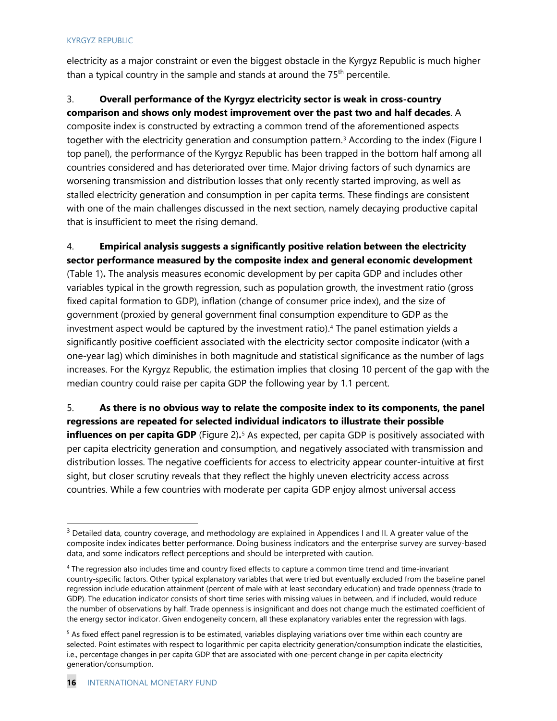electricity as a major constraint or even the biggest obstacle in the Kyrgyz Republic is much higher than a typical country in the sample and stands at around the  $75<sup>th</sup>$  percentile.

### 3. **Overall performance of the Kyrgyz electricity sector is weak in cross-country**

**comparison and shows only modest improvement over the past two and half decades**. A composite index is constructed by extracting a common trend of the aforementioned aspects together with the electricity generation and consumption pattern.<sup>3</sup> According to the index (Figure I top panel), the performance of the Kyrgyz Republic has been trapped in the bottom half among all countries considered and has deteriorated over time. Major driving factors of such dynamics are worsening transmission and distribution losses that only recently started improving, as well as stalled electricity generation and consumption in per capita terms. These findings are consistent with one of the main challenges discussed in the next section, namely decaying productive capital that is insufficient to meet the rising demand.

### 4. **Empirical analysis suggests a significantly positive relation between the electricity sector performance measured by the composite index and general economic development**

(Table 1)**.** The analysis measures economic development by per capita GDP and includes other variables typical in the growth regression, such as population growth, the investment ratio (gross fixed capital formation to GDP), inflation (change of consumer price index), and the size of government (proxied by general government final consumption expenditure to GDP as the investment aspect would be captured by the investment ratio).<sup>[4](#page-16-1)</sup> The panel estimation yields a significantly positive coefficient associated with the electricity sector composite indicator (with a one-year lag) which diminishes in both magnitude and statistical significance as the number of lags increases. For the Kyrgyz Republic, the estimation implies that closing 10 percent of the gap with the median country could raise per capita GDP the following year by 1.1 percent.

5. **As there is no obvious way to relate the composite index to its components, the panel regressions are repeated for selected individual indicators to illustrate their possible influences on per capita GDP** (Figure 2)**.**[5](#page-16-2) As expected, per capita GDP is positively associated with per capita electricity generation and consumption, and negatively associated with transmission and distribution losses. The negative coefficients for access to electricity appear counter-intuitive at first sight, but closer scrutiny reveals that they reflect the highly uneven electricity access across countries. While a few countries with moderate per capita GDP enjoy almost universal access

<span id="page-16-0"></span><sup>&</sup>lt;sup>3</sup> Detailed data, country coverage, and methodology are explained in Appendices I and II. A greater value of the composite index indicates better performance. Doing business indicators and the enterprise survey are survey-based data, and some indicators reflect perceptions and should be interpreted with caution.

<span id="page-16-1"></span><sup>4</sup> The regression also includes time and country fixed effects to capture a common time trend and time-invariant country-specific factors. Other typical explanatory variables that were tried but eventually excluded from the baseline panel regression include education attainment (percent of male with at least secondary education) and trade openness (trade to GDP). The education indicator consists of short time series with missing values in between, and if included, would reduce the number of observations by half. Trade openness is insignificant and does not change much the estimated coefficient of the energy sector indicator. Given endogeneity concern, all these explanatory variables enter the regression with lags.

<span id="page-16-2"></span><sup>&</sup>lt;sup>5</sup> As fixed effect panel regression is to be estimated, variables displaying variations over time within each country are selected. Point estimates with respect to logarithmic per capita electricity generation/consumption indicate the elasticities, i.e., percentage changes in per capita GDP that are associated with one-percent change in per capita electricity generation/consumption.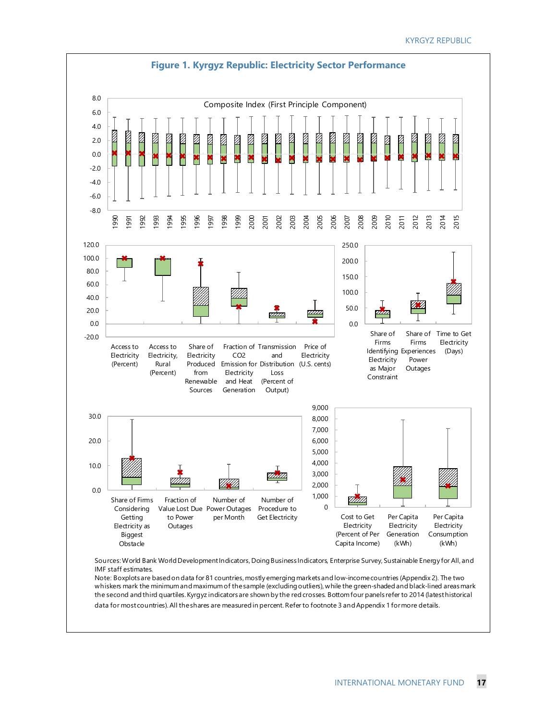

IMF staff estimates. Note: Boxplots are based on data for 81 countries, mostly emerging markets and low-income countries (Appendix 2). The two

whiskers mark the minimum and maximum of the sample (excluding outliers), while the green-shaded and black-lined areas mark the second and third quartiles. Kyrgyz indicators are shown by the red crosses. Bottom four panels refer to 2014 (latest historical data for most countries). All the shares are measured in percent. Refer to footnote 3 and Appendix 1 for more details.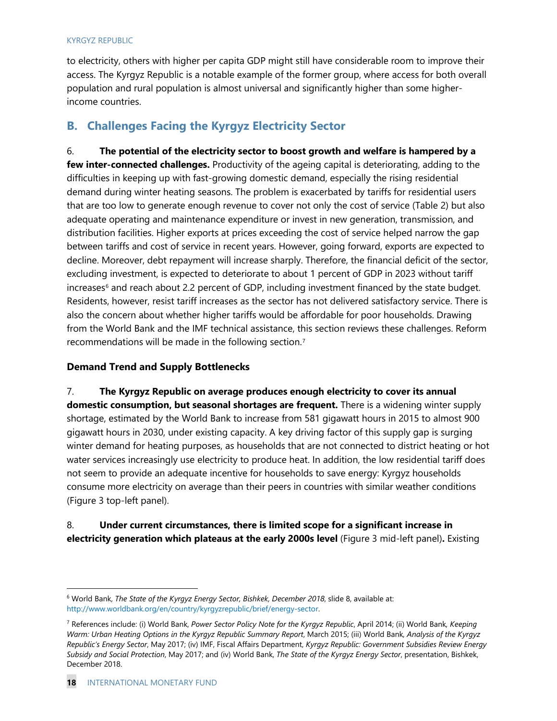to electricity, others with higher per capita GDP might still have considerable room to improve their access. The Kyrgyz Republic is a notable example of the former group, where access for both overall population and rural population is almost universal and significantly higher than some higherincome countries.

### **B. Challenges Facing the Kyrgyz Electricity Sector**

6. **The potential of the electricity sector to boost growth and welfare is hampered by a few inter-connected challenges.** Productivity of the ageing capital is deteriorating, adding to the difficulties in keeping up with fast-growing domestic demand, especially the rising residential demand during winter heating seasons. The problem is exacerbated by tariffs for residential users that are too low to generate enough revenue to cover not only the cost of service (Table 2) but also adequate operating and maintenance expenditure or invest in new generation, transmission, and distribution facilities. Higher exports at prices exceeding the cost of service helped narrow the gap between tariffs and cost of service in recent years. However, going forward, exports are expected to decline. Moreover, debt repayment will increase sharply. Therefore, the financial deficit of the sector, excluding investment, is expected to deteriorate to about 1 percent of GDP in 2023 without tariff increases<sup>[6](#page-18-0)</sup> and reach about 2.2 percent of GDP, including investment financed by the state budget. Residents, however, resist tariff increases as the sector has not delivered satisfactory service. There is also the concern about whether higher tariffs would be affordable for poor households. Drawing from the World Bank and the IMF technical assistance, this section reviews these challenges. Reform recommendations will be made in the following section.[7](#page-18-1)

### **Demand Trend and Supply Bottlenecks**

7. **The Kyrgyz Republic on average produces enough electricity to cover its annual domestic consumption, but seasonal shortages are frequent.** There is a widening winter supply shortage, estimated by the World Bank to increase from 581 gigawatt hours in 2015 to almost 900 gigawatt hours in 2030, under existing capacity. A key driving factor of this supply gap is surging winter demand for heating purposes, as households that are not connected to district heating or hot water services increasingly use electricity to produce heat. In addition, the low residential tariff does not seem to provide an adequate incentive for households to save energy: Kyrgyz households consume more electricity on average than their peers in countries with similar weather conditions (Figure 3 top-left panel).

### 8. **Under current circumstances, there is limited scope for a significant increase in electricity generation which plateaus at the early 2000s level** (Figure 3 mid-left panel)**.** Existing

<span id="page-18-0"></span> <sup>6</sup> World Bank, *The State of the Kyrgyz Energy Sector, Bishkek, December 2018*, slide 8, available at: [http://www.worldbank.org/en/country/kyrgyzrepublic/brief/energy-sector.](http://www.worldbank.org/en/country/kyrgyzrepublic/brief/energy-sector) 

<span id="page-18-1"></span><sup>7</sup> References include: (i) World Bank, *Power Sector Policy Note for the Kyrgyz Republic*, April 2014; (ii) World Bank*, Keeping Warm: Urban Heating Options in the Kyrgyz Republic Summary Report*, March 2015; (iii) World Bank*, Analysis of the Kyrgyz Republic's Energy Sector*, May 2017; (iv) IMF, Fiscal Affairs Department, *Kyrgyz Republic: Government Subsidies Review Energy Subsidy and Social Protection*, May 2017; and (iv) World Bank, *The State of the Kyrgyz Energy Sector*, presentation, Bishkek, December 2018.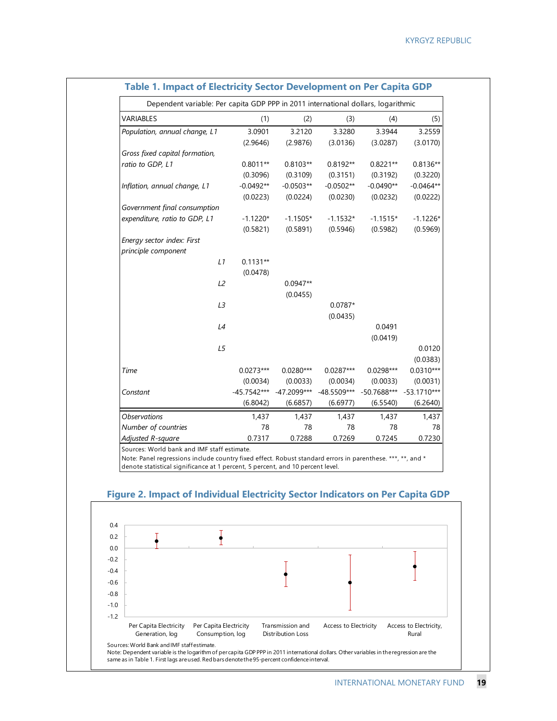| Dependent variable: Per capita GDP PPP in 2011 international dollars, logarithmic |               |               |               |                         |             |
|-----------------------------------------------------------------------------------|---------------|---------------|---------------|-------------------------|-------------|
| <b>VARIABLES</b>                                                                  | (1)           | (2)           | (3)           | (4)                     | (5)         |
| Population, annual change, L1                                                     | 3.0901        | 3.2120        | 3.3280        | 3.3944                  | 3.2559      |
|                                                                                   | (2.9646)      | (2.9876)      | (3.0136)      | (3.0287)                | (3.0170)    |
| Gross fixed capital formation,                                                    |               |               |               |                         |             |
| ratio to GDP, L1                                                                  | $0.8011**$    | $0.8103**$    | $0.8192**$    | $0.8221**$              | $0.8136**$  |
|                                                                                   | (0.3096)      | (0.3109)      | (0.3151)      | (0.3192)                | (0.3220)    |
| Inflation, annual change, L1                                                      | $-0.0492**$   | $-0.0503**$   | $-0.0502**$   | $-0.0490**$             | $-0.0464**$ |
|                                                                                   | (0.0223)      | (0.0224)      | (0.0230)      | (0.0232)                | (0.0222)    |
| Government final consumption                                                      |               |               |               |                         |             |
| expenditure, ratio to GDP, L1                                                     | $-1.1220*$    | $-1.1505*$    | $-1.1532*$    | $-1.1515*$              | $-1.1226*$  |
|                                                                                   | (0.5821)      | (0.5891)      | (0.5946)      | (0.5982)                | (0.5969)    |
| Energy sector index: First                                                        |               |               |               |                         |             |
| principle component                                                               |               |               |               |                         |             |
| L1                                                                                | $0.1131**$    |               |               |                         |             |
|                                                                                   | (0.0478)      |               |               |                         |             |
| L2                                                                                |               | $0.0947**$    |               |                         |             |
|                                                                                   |               | (0.0455)      |               |                         |             |
| L3                                                                                |               |               | $0.0787*$     |                         |             |
|                                                                                   |               |               | (0.0435)      |                         |             |
| L4                                                                                |               |               |               | 0.0491                  |             |
|                                                                                   |               |               |               | (0.0419)                |             |
| L5                                                                                |               |               |               |                         | 0.0120      |
|                                                                                   |               |               |               |                         | (0.0383)    |
| Time                                                                              | $0.0273***$   | $0.0280***$   | $0.0287***$   | $0.0298***$             | $0.0310***$ |
|                                                                                   | (0.0034)      | (0.0033)      | (0.0034)      | (0.0033)                | (0.0031)    |
| Constant                                                                          | $-45.7542***$ | $-47.2099***$ | $-48.5509***$ | -50.7688*** -53.1710*** |             |
|                                                                                   | (6.8042)      | (6.6857)      | (6.6977)      | (6.5540)                | (6.2640)    |
| <b>Observations</b>                                                               | 1,437         | 1,437         | 1,437         | 1,437                   | 1,437       |
| Number of countries                                                               | 78            | 78            | 78            | 78                      | 78          |
| Adjusted R-square                                                                 | 0.7317        | 0.7288        | 0.7269        | 0.7245                  | 0.7230      |

### **Table 1. Impact of Electricity Sector Development on Per Capita GDP**

Note: Panel regressions include country fixed effect. Robust standard errors in parenthese. \*\*\*, \*\*, and \* denote statistical significance at 1 percent, 5 percent, and 10 percent level.



### **Figure 2. Impact of Individual Electricity Sector Indicators on Per Capita GDP**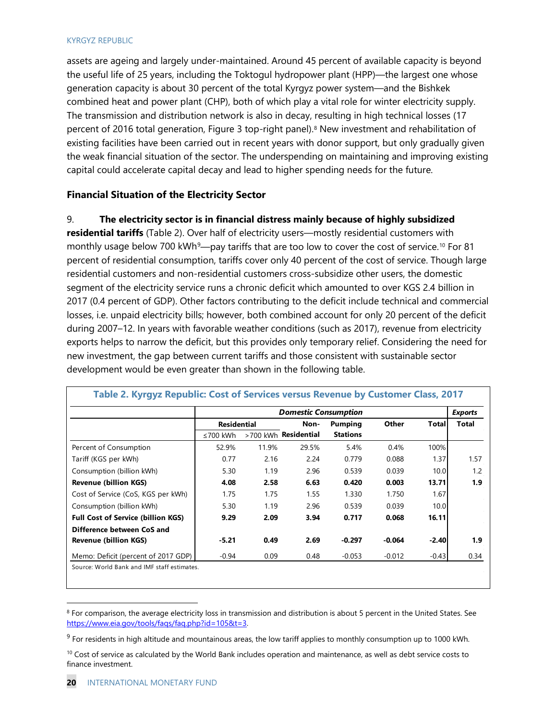assets are ageing and largely under-maintained. Around 45 percent of available capacity is beyond the useful life of 25 years, including the Toktogul hydropower plant (HPP)—the largest one whose generation capacity is about 30 percent of the total Kyrgyz power system—and the Bishkek combined heat and power plant (CHP), both of which play a vital role for winter electricity supply. The transmission and distribution network is also in decay, resulting in high technical losses (17 percent of 2016 total generation, Figure 3 top-right panel).<sup>8</sup> New investment and rehabilitation of existing facilities have been carried out in recent years with donor support, but only gradually given the weak financial situation of the sector. The underspending on maintaining and improving existing capital could accelerate capital decay and lead to higher spending needs for the future.

### **Financial Situation of the Electricity Sector**

### 9. **The electricity sector is in financial distress mainly because of highly subsidized**

**residential tariffs** (Table 2). Over half of electricity users—mostly residential customers with monthly usage below 700 kWh<sup>[9](#page-20-1)</sup>—pay tariffs that are too low to cover the cost of service.<sup>[10](#page-20-2)</sup> For 81 percent of residential consumption, tariffs cover only 40 percent of the cost of service. Though large residential customers and non-residential customers cross-subsidize other users, the domestic segment of the electricity service runs a chronic deficit which amounted to over KGS 2.4 billion in 2017 (0.4 percent of GDP). Other factors contributing to the deficit include technical and commercial losses, i.e. unpaid electricity bills; however, both combined account for only 20 percent of the deficit during 2007–12. In years with favorable weather conditions (such as 2017), revenue from electricity exports helps to narrow the deficit, but this provides only temporary relief. Considering the need for new investment, the gap between current tariffs and those consistent with sustainable sector development would be even greater than shown in the following table.

|                                           |          |                    | <b>Domestic Consumption</b> |                 |          |              | <b>Exports</b> |
|-------------------------------------------|----------|--------------------|-----------------------------|-----------------|----------|--------------|----------------|
|                                           |          | <b>Residential</b> |                             | Pumping         | Other    | <b>Total</b> | <b>Total</b>   |
|                                           | ≤700 kWh |                    | >700 kWh Residential        | <b>Stations</b> |          |              |                |
| Percent of Consumption                    | 52.9%    | 11.9%              | 29.5%                       | 5.4%            | 0.4%     | 100%         |                |
| Tariff (KGS per kWh)                      | 0.77     | 2.16               | 2.24                        | 0.779           | 0.088    | 1.37         | 1.57           |
| Consumption (billion kWh)                 | 5.30     | 1.19               | 2.96                        | 0.539           | 0.039    | 10.0         | 1.2            |
| <b>Revenue (billion KGS)</b>              | 4.08     | 2.58               | 6.63                        | 0.420           | 0.003    | 13.71        | 1.9            |
| Cost of Service (CoS, KGS per kWh)        | 1.75     | 1.75               | 1.55                        | 1.330           | 1.750    | 1.67         |                |
| Consumption (billion kWh)                 | 5.30     | 1.19               | 2.96                        | 0.539           | 0.039    | 10.0         |                |
| <b>Full Cost of Service (billion KGS)</b> | 9.29     | 2.09               | 3.94                        | 0.717           | 0.068    | 16.11        |                |
| Difference between CoS and                |          |                    |                             |                 |          |              |                |
| <b>Revenue (billion KGS)</b>              | $-5.21$  | 0.49               | 2.69                        | $-0.297$        | $-0.064$ | $-2.40$      | 1.9            |
| Memo: Deficit (percent of 2017 GDP)       | $-0.94$  | 0.09               | 0.48                        | $-0.053$        | $-0.012$ | $-0.43$      | 0.34           |

<span id="page-20-0"></span><sup>8</sup> For comparison, the average electricity loss in transmission and distribution is about 5 percent in the United States. See [https://www.eia.gov/tools/faqs/faq.php?id=105&t=3.](https://www.eia.gov/tools/faqs/faq.php?id=105&t=3) 

<span id="page-20-1"></span> $9$  For residents in high altitude and mountainous areas, the low tariff applies to monthly consumption up to 1000 kWh.

<span id="page-20-2"></span> $10$  Cost of service as calculated by the World Bank includes operation and maintenance, as well as debt service costs to finance investment.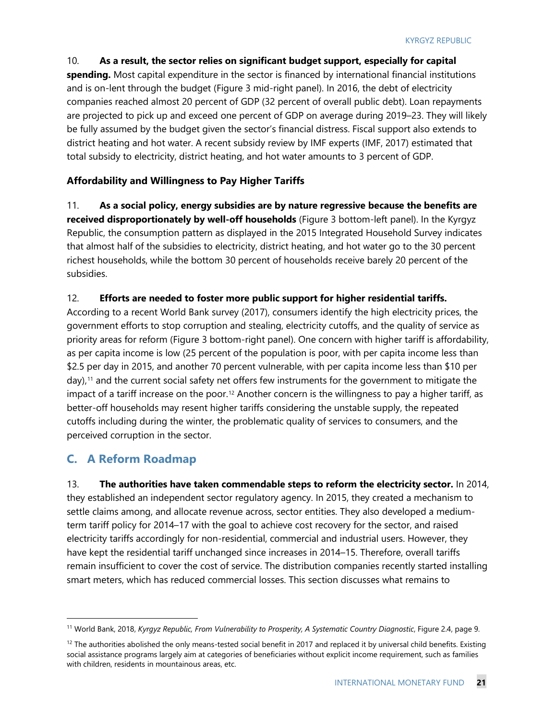10. **As a result, the sector relies on significant budget support, especially for capital spending.** Most capital expenditure in the sector is financed by international financial institutions and is on-lent through the budget (Figure 3 mid-right panel). In 2016, the debt of electricity companies reached almost 20 percent of GDP (32 percent of overall public debt). Loan repayments are projected to pick up and exceed one percent of GDP on average during 2019–23. They will likely be fully assumed by the budget given the sector's financial distress. Fiscal support also extends to district heating and hot water. A recent subsidy review by IMF experts (IMF, 2017) estimated that total subsidy to electricity, district heating, and hot water amounts to 3 percent of GDP.

### **Affordability and Willingness to Pay Higher Tariffs**

11. **As a social policy, energy subsidies are by nature regressive because the benefits are received disproportionately by well-off households** (Figure 3 bottom-left panel). In the Kyrgyz Republic, the consumption pattern as displayed in the 2015 Integrated Household Survey indicates that almost half of the subsidies to electricity, district heating, and hot water go to the 30 percent richest households, while the bottom 30 percent of households receive barely 20 percent of the subsidies.

### 12. **Efforts are needed to foster more public support for higher residential tariffs.**

According to a recent World Bank survey (2017), consumers identify the high electricity prices, the government efforts to stop corruption and stealing, electricity cutoffs, and the quality of service as priority areas for reform (Figure 3 bottom-right panel). One concern with higher tariff is affordability, as per capita income is low (25 percent of the population is poor, with per capita income less than \$2.5 per day in 2015, and another 70 percent vulnerable, with per capita income less than \$10 per day),<sup>[11](#page-21-0)</sup> and the current social safety net offers few instruments for the government to mitigate the impact of a tariff increase on the poor.<sup>[12](#page-21-1)</sup> Another concern is the willingness to pay a higher tariff, as better-off households may resent higher tariffs considering the unstable supply, the repeated cutoffs including during the winter, the problematic quality of services to consumers, and the perceived corruption in the sector.

### **C. A Reform Roadmap**

13. **The authorities have taken commendable steps to reform the electricity sector.** In 2014, they established an independent sector regulatory agency. In 2015, they created a mechanism to settle claims among, and allocate revenue across, sector entities. They also developed a mediumterm tariff policy for 2014–17 with the goal to achieve cost recovery for the sector, and raised electricity tariffs accordingly for non-residential, commercial and industrial users. However, they have kept the residential tariff unchanged since increases in 2014–15. Therefore, overall tariffs remain insufficient to cover the cost of service. The distribution companies recently started installing smart meters, which has reduced commercial losses. This section discusses what remains to

<span id="page-21-0"></span> <sup>11</sup> World Bank, 2018, *Kyrgyz Republic, From Vulnerability to Prosperity, A Systematic Country Diagnostic*, Figure 2.4, page 9.

<span id="page-21-1"></span> $12$  The authorities abolished the only means-tested social benefit in 2017 and replaced it by universal child benefits. Existing social assistance programs largely aim at categories of beneficiaries without explicit income requirement, such as families with children, residents in mountainous areas, etc.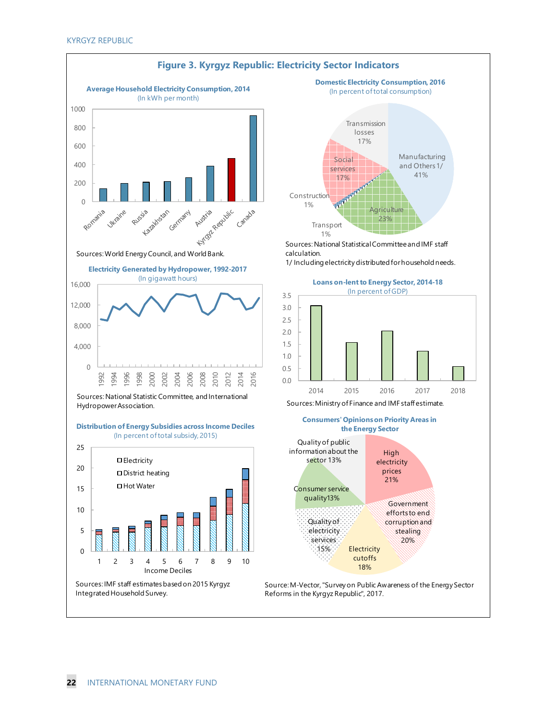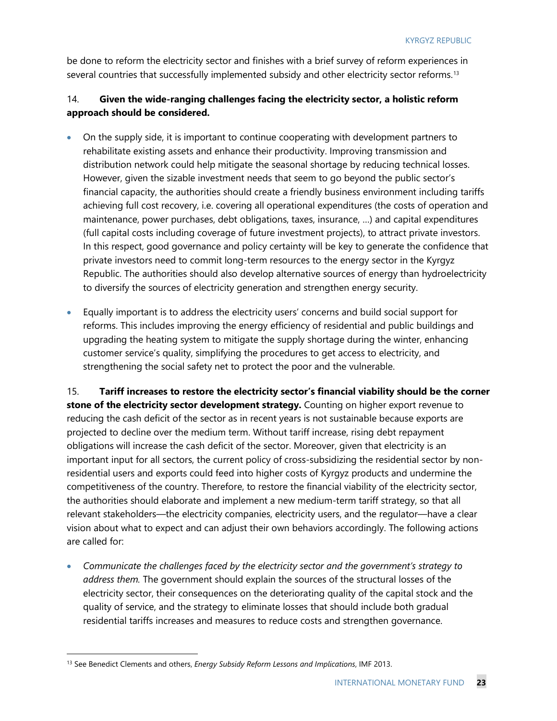be done to reform the electricity sector and finishes with a brief survey of reform experiences in several countries that successfully implemented subsidy and other electricity sector reforms.<sup>[13](#page-23-0)</sup>

### 14. **Given the wide-ranging challenges facing the electricity sector, a holistic reform approach should be considered.**

- On the supply side, it is important to continue cooperating with development partners to rehabilitate existing assets and enhance their productivity. Improving transmission and distribution network could help mitigate the seasonal shortage by reducing technical losses. However, given the sizable investment needs that seem to go beyond the public sector's financial capacity, the authorities should create a friendly business environment including tariffs achieving full cost recovery, i.e. covering all operational expenditures (the costs of operation and maintenance, power purchases, debt obligations, taxes, insurance, …) and capital expenditures (full capital costs including coverage of future investment projects), to attract private investors. In this respect, good governance and policy certainty will be key to generate the confidence that private investors need to commit long-term resources to the energy sector in the Kyrgyz Republic. The authorities should also develop alternative sources of energy than hydroelectricity to diversify the sources of electricity generation and strengthen energy security.
- Equally important is to address the electricity users' concerns and build social support for reforms. This includes improving the energy efficiency of residential and public buildings and upgrading the heating system to mitigate the supply shortage during the winter, enhancing customer service's quality, simplifying the procedures to get access to electricity, and strengthening the social safety net to protect the poor and the vulnerable.

15. **Tariff increases to restore the electricity sector's financial viability should be the corner stone of the electricity sector development strategy.** Counting on higher export revenue to reducing the cash deficit of the sector as in recent years is not sustainable because exports are projected to decline over the medium term. Without tariff increase, rising debt repayment obligations will increase the cash deficit of the sector. Moreover, given that electricity is an important input for all sectors, the current policy of cross-subsidizing the residential sector by nonresidential users and exports could feed into higher costs of Kyrgyz products and undermine the competitiveness of the country. Therefore, to restore the financial viability of the electricity sector, the authorities should elaborate and implement a new medium-term tariff strategy, so that all relevant stakeholders—the electricity companies, electricity users, and the regulator—have a clear vision about what to expect and can adjust their own behaviors accordingly. The following actions are called for:

• *Communicate the challenges faced by the electricity sector and the government's strategy to address them.* The government should explain the sources of the structural losses of the electricity sector, their consequences on the deteriorating quality of the capital stock and the quality of service, and the strategy to eliminate losses that should include both gradual residential tariffs increases and measures to reduce costs and strengthen governance.

<span id="page-23-0"></span> <sup>13</sup> See Benedict Clements and others, *Energy Subsidy Reform Lessons and Implications*, IMF 2013.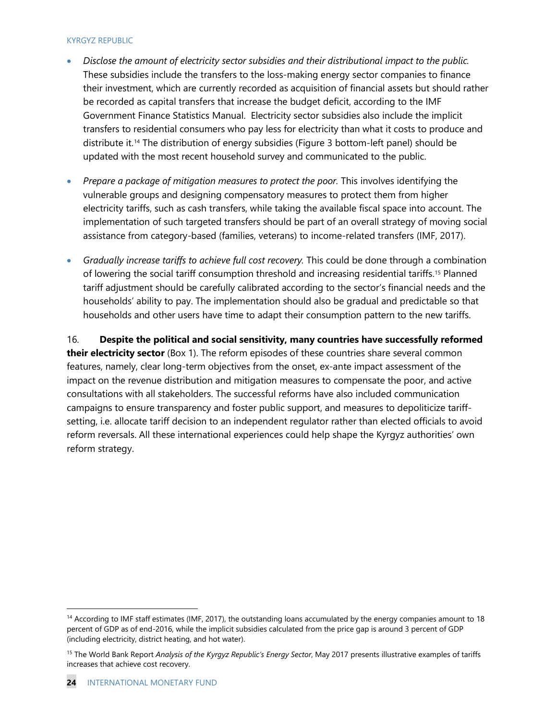- *Disclose the amount of electricity sector subsidies and their distributional impact to the public.* These subsidies include the transfers to the loss-making energy sector companies to finance their investment, which are currently recorded as acquisition of financial assets but should rather be recorded as capital transfers that increase the budget deficit, according to the IMF Government Finance Statistics Manual. Electricity sector subsidies also include the implicit transfers to residential consumers who pay less for electricity than what it costs to produce and distribute it.[14](#page-24-0) The distribution of energy subsidies (Figure 3 bottom-left panel) should be updated with the most recent household survey and communicated to the public.
- *Prepare a package of mitigation measures to protect the poor.* This involves identifying the vulnerable groups and designing compensatory measures to protect them from higher electricity tariffs, such as cash transfers, while taking the available fiscal space into account. The implementation of such targeted transfers should be part of an overall strategy of moving social assistance from category-based (families, veterans) to income-related transfers (IMF, 2017).
- *Gradually increase tariffs to achieve full cost recovery.* This could be done through a combination of lowering the social tariff consumption threshold and increasing residential tariffs.[15](#page-24-1) Planned tariff adjustment should be carefully calibrated according to the sector's financial needs and the households' ability to pay. The implementation should also be gradual and predictable so that households and other users have time to adapt their consumption pattern to the new tariffs.

16. **Despite the political and social sensitivity, many countries have successfully reformed their electricity sector** (Box 1). The reform episodes of these countries share several common features, namely, clear long-term objectives from the onset, ex-ante impact assessment of the impact on the revenue distribution and mitigation measures to compensate the poor, and active consultations with all stakeholders. The successful reforms have also included communication campaigns to ensure transparency and foster public support, and measures to depoliticize tariffsetting, i.e. allocate tariff decision to an independent regulator rather than elected officials to avoid reform reversals. All these international experiences could help shape the Kyrgyz authorities' own reform strategy.

<span id="page-24-0"></span> $14$  According to IMF staff estimates (IMF, 2017), the outstanding loans accumulated by the energy companies amount to 18 percent of GDP as of end-2016, while the implicit subsidies calculated from the price gap is around 3 percent of GDP (including electricity, district heating, and hot water).

<span id="page-24-1"></span><sup>15</sup> The World Bank Report *Analysis of the Kyrgyz Republic's Energy Sector*, May 2017 presents illustrative examples of tariffs increases that achieve cost recovery.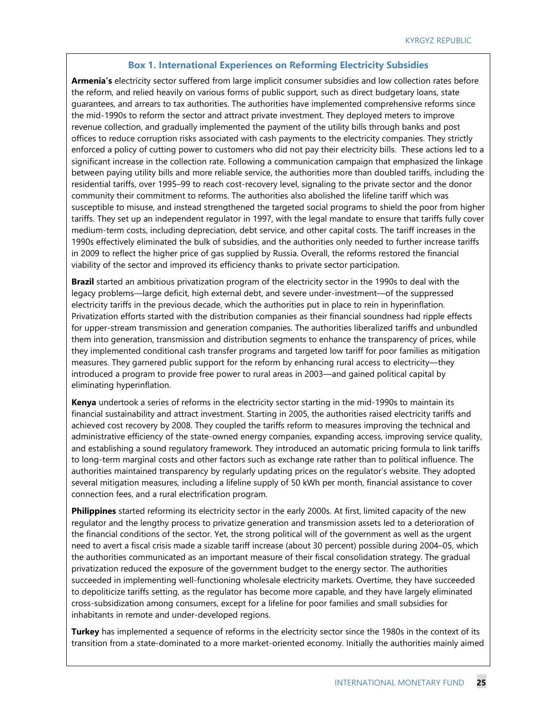#### **Box 1. International Experiences on Reforming Electricity Subsidies**

**Armenia's** electricity sector suffered from large implicit consumer subsidies and low collection rates before the reform, and relied heavily on various forms of public support, such as direct budgetary loans, state guarantees, and arrears to tax authorities. The authorities have implemented comprehensive reforms since the mid-1990s to reform the sector and attract private investment. They deployed meters to improve revenue collection, and gradually implemented the payment of the utility bills through banks and post offices to reduce corruption risks associated with cash payments to the electricity companies. They strictly enforced a policy of cutting power to customers who did not pay their electricity bills. These actions led to a significant increase in the collection rate. Following a communication campaign that emphasized the linkage between paying utility bills and more reliable service, the authorities more than doubled tariffs, including the residential tariffs, over 1995–99 to reach cost-recovery level, signaling to the private sector and the donor community their commitment to reforms. The authorities also abolished the lifeline tariff which was susceptible to misuse, and instead strengthened the targeted social programs to shield the poor from higher tariffs. They set up an independent regulator in 1997, with the legal mandate to ensure that tariffs fully cover medium-term costs, including depreciation, debt service, and other capital costs. The tariff increases in the 1990s effectively eliminated the bulk of subsidies, and the authorities only needed to further increase tariffs in 2009 to reflect the higher price of gas supplied by Russia. Overall, the reforms restored the financial viability of the sector and improved its efficiency thanks to private sector participation.

**Brazil** started an ambitious privatization program of the electricity sector in the 1990s to deal with the legacy problems—large deficit, high external debt, and severe under-investment—of the suppressed electricity tariffs in the previous decade, which the authorities put in place to rein in hyperinflation. Privatization efforts started with the distribution companies as their financial soundness had ripple effects for upper-stream transmission and generation companies. The authorities liberalized tariffs and unbundled them into generation, transmission and distribution segments to enhance the transparency of prices, while they implemented conditional cash transfer programs and targeted low tariff for poor families as mitigation measures. They garnered public support for the reform by enhancing rural access to electricity—they introduced a program to provide free power to rural areas in 2003—and gained political capital by eliminating hyperinflation.

**Kenya** undertook a series of reforms in the electricity sector starting in the mid-1990s to maintain its financial sustainability and attract investment. Starting in 2005, the authorities raised electricity tariffs and achieved cost recovery by 2008. They coupled the tariffs reform to measures improving the technical and administrative efficiency of the state-owned energy companies, expanding access, improving service quality, and establishing a sound regulatory framework. They introduced an automatic pricing formula to link tariffs to long-term marginal costs and other factors such as exchange rate rather than to political influence. The authorities maintained transparency by regularly updating prices on the regulator's website. They adopted several mitigation measures, including a lifeline supply of 50 kWh per month, financial assistance to cover connection fees, and a rural electrification program.

**Philippines** started reforming its electricity sector in the early 2000s. At first, limited capacity of the new regulator and the lengthy process to privatize generation and transmission assets led to a deterioration of the financial conditions of the sector. Yet, the strong political will of the government as well as the urgent need to avert a fiscal crisis made a sizable tariff increase (about 30 percent) possible during 2004–05, which the authorities communicated as an important measure of their fiscal consolidation strategy. The gradual privatization reduced the exposure of the government budget to the energy sector. The authorities succeeded in implementing well-functioning wholesale electricity markets. Overtime, they have succeeded to depoliticize tariffs setting, as the regulator has become more capable, and they have largely eliminated cross-subsidization among consumers, except for a lifeline for poor families and small subsidies for inhabitants in remote and under-developed regions.

**Turkey** has implemented a sequence of reforms in the electricity sector since the 1980s in the context of its transition from a state-dominated to a more market-oriented economy. Initially the authorities mainly aimed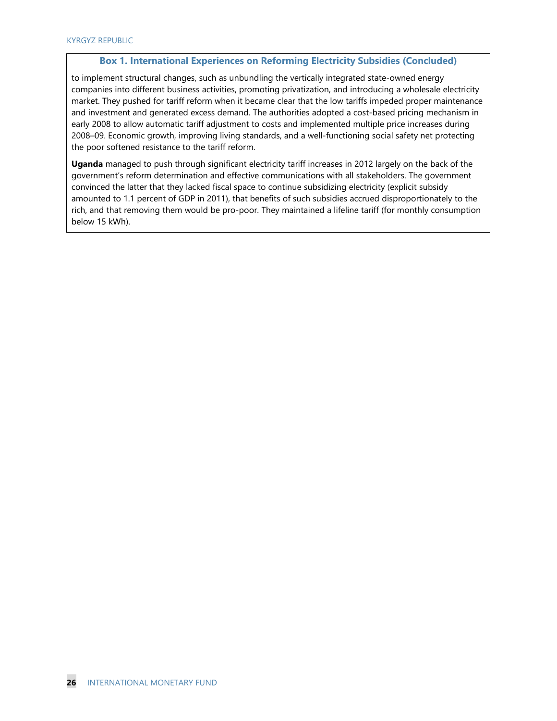#### **Box 1. International Experiences on Reforming Electricity Subsidies (Concluded)**

to implement structural changes, such as unbundling the vertically integrated state-owned energy companies into different business activities, promoting privatization, and introducing a wholesale electricity market. They pushed for tariff reform when it became clear that the low tariffs impeded proper maintenance and investment and generated excess demand. The authorities adopted a cost-based pricing mechanism in early 2008 to allow automatic tariff adjustment to costs and implemented multiple price increases during 2008–09. Economic growth, improving living standards, and a well-functioning social safety net protecting the poor softened resistance to the tariff reform.

**Uganda** managed to push through significant electricity tariff increases in 2012 largely on the back of the government's reform determination and effective communications with all stakeholders. The government convinced the latter that they lacked fiscal space to continue subsidizing electricity (explicit subsidy amounted to 1.1 percent of GDP in 2011), that benefits of such subsidies accrued disproportionately to the rich, and that removing them would be pro-poor. They maintained a lifeline tariff (for monthly consumption below 15 kWh).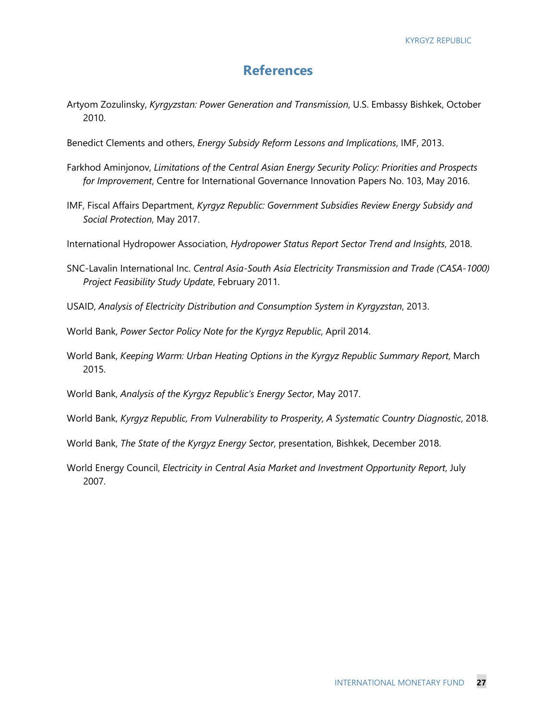### **References**

- Artyom Zozulinsky, *Kyrgyzstan: Power Generation and Transmission*, U.S. Embassy Bishkek, October 2010.
- Benedict Clements and others, *Energy Subsidy Reform Lessons and Implications*, IMF, 2013.
- Farkhod Aminjonov, *Limitations of the Central Asian Energy Security Policy: Priorities and Prospects for Improvement*, Centre for International Governance Innovation Papers No. 103, May 2016.
- IMF, Fiscal Affairs Department, *Kyrgyz Republic: Government Subsidies Review Energy Subsidy and Social Protection*, May 2017.
- International Hydropower Association, *Hydropower Status Report Sector Trend and Insights*, 2018.
- SNC-Lavalin International Inc. *Central Asia-South Asia Electricity Transmission and Trade (CASA-1000) Project Feasibility Study Update*, February 2011.
- USAID, *Analysis of Electricity Distribution and Consumption System in Kyrgyzstan*, 2013.
- World Bank, *Power Sector Policy Note for the Kyrgyz Republic*, April 2014.
- World Bank, *Keeping Warm: Urban Heating Options in the Kyrgyz Republic Summary Report*, March 2015.
- World Bank, *Analysis of the Kyrgyz Republic's Energy Sector*, May 2017.
- World Bank, *Kyrgyz Republic, From Vulnerability to Prosperity, A Systematic Country Diagnostic*, 2018.
- World Bank, *The State of the Kyrgyz Energy Sector*, presentation, Bishkek, December 2018.
- World Energy Council, *Electricity in Central Asia Market and Investment Opportunity Report*, July 2007.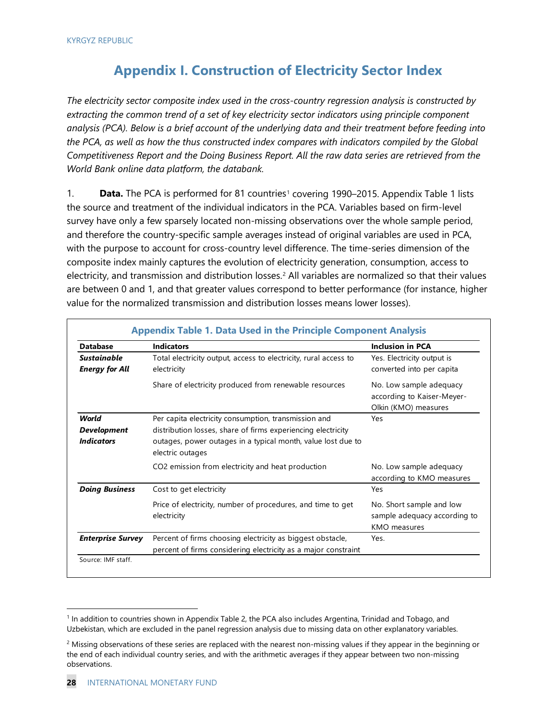### **Appendix I. Construction of Electricity Sector Index**

*The electricity sector composite index used in the cross-country regression analysis is constructed by extracting the common trend of a set of key electricity sector indicators using principle component analysis (PCA). Below is a brief account of the underlying data and their treatment before feeding into the PCA, as well as how the thus constructed index compares with indicators compiled by the Global Competitiveness Report and the Doing Business Report. All the raw data series are retrieved from the World Bank online data platform, the databank.*

[1](#page-28-0). **Data.** The PCA is performed for 81 countries<sup>1</sup> covering 1990–2015. Appendix Table 1 lists the source and treatment of the individual indicators in the PCA. Variables based on firm-level survey have only a few sparsely located non-missing observations over the whole sample period, and therefore the country-specific sample averages instead of original variables are used in PCA, with the purpose to account for cross-country level difference. The time-series dimension of the composite index mainly captures the evolution of electricity generation, consumption, access to electricity, and transmission and distribution losses.<sup>[2](#page-28-1)</sup> All variables are normalized so that their values are between 0 and 1, and that greater values correspond to better performance (for instance, higher value for the normalized transmission and distribution losses means lower losses).

| <b>Database</b>                                  | <b>Indicators</b>                                                                                                                                                                                        | <b>Inclusion in PCA</b>                                                         |
|--------------------------------------------------|----------------------------------------------------------------------------------------------------------------------------------------------------------------------------------------------------------|---------------------------------------------------------------------------------|
| <b>Sustainable</b><br><b>Energy for All</b>      | Total electricity output, access to electricity, rural access to<br>electricity                                                                                                                          | Yes. Electricity output is<br>converted into per capita                         |
|                                                  | Share of electricity produced from renewable resources                                                                                                                                                   | No. Low sample adequacy<br>according to Kaiser-Meyer-<br>Olkin (KMO) measures   |
| World<br><b>Development</b><br><b>Indicators</b> | Per capita electricity consumption, transmission and<br>distribution losses, share of firms experiencing electricity<br>outages, power outages in a typical month, value lost due to<br>electric outages | Yes                                                                             |
|                                                  | CO2 emission from electricity and heat production                                                                                                                                                        | No. Low sample adequacy<br>according to KMO measures                            |
| <b>Doing Business</b>                            | Cost to get electricity                                                                                                                                                                                  | Yes                                                                             |
|                                                  | Price of electricity, number of procedures, and time to get<br>electricity                                                                                                                               | No. Short sample and low<br>sample adequacy according to<br><b>KMO</b> measures |
| <b>Enterprise Survey</b>                         | Percent of firms choosing electricity as biggest obstacle,<br>percent of firms considering electricity as a major constraint                                                                             | Yes.                                                                            |

<span id="page-28-0"></span> <sup>1</sup> In addition to countries shown in Appendix Table 2, the PCA also includes Argentina, Trinidad and Tobago, and Uzbekistan, which are excluded in the panel regression analysis due to missing data on other explanatory variables.

<span id="page-28-1"></span> $2$  Missing observations of these series are replaced with the nearest non-missing values if they appear in the beginning or the end of each individual country series, and with the arithmetic averages if they appear between two non-missing observations.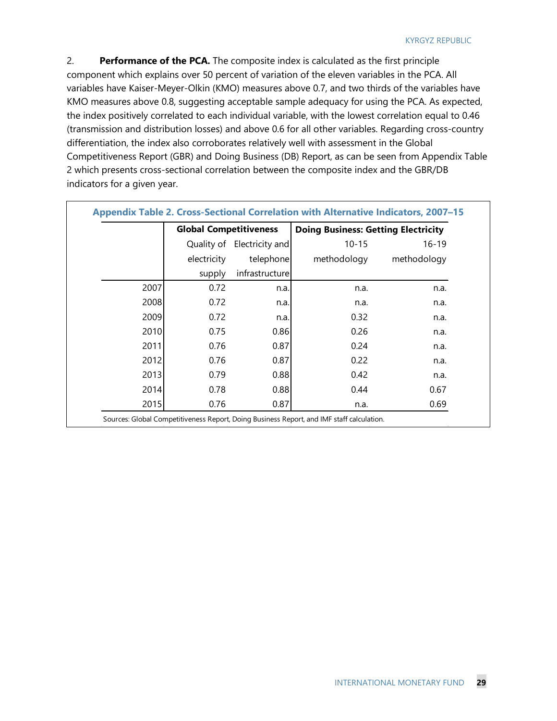2. **Performance of the PCA.** The composite index is calculated as the first principle component which explains over 50 percent of variation of the eleven variables in the PCA. All variables have Kaiser-Meyer-Olkin (KMO) measures above 0.7, and two thirds of the variables have KMO measures above 0.8, suggesting acceptable sample adequacy for using the PCA. As expected, the index positively correlated to each individual variable, with the lowest correlation equal to 0.46 (transmission and distribution losses) and above 0.6 for all other variables. Regarding cross-country differentiation, the index also corroborates relatively well with assessment in the Global Competitiveness Report (GBR) and Doing Business (DB) Report, as can be seen from Appendix Table 2 which presents cross-sectional correlation between the composite index and the GBR/DB indicators for a given year.

|      | <b>Global Competitiveness</b> |                            | <b>Doing Business: Getting Electricity</b> |             |
|------|-------------------------------|----------------------------|--------------------------------------------|-------------|
|      |                               | Quality of Electricity and | $10 - 15$                                  | $16 - 19$   |
|      | electricity                   | telephone                  | methodology                                | methodology |
|      | supply                        | infrastructure             |                                            |             |
| 2007 | 0.72                          | n.a.                       | n.a.                                       | n.a.        |
| 2008 | 0.72                          | n.a.                       | n.a.                                       | n.a.        |
| 2009 | 0.72                          | n.a.                       | 0.32                                       | n.a.        |
| 2010 | 0.75                          | 0.86                       | 0.26                                       | n.a.        |
| 2011 | 0.76                          | 0.87                       | 0.24                                       | n.a.        |
| 2012 | 0.76                          | 0.87                       | 0.22                                       | n.a.        |
| 2013 | 0.79                          | 0.88                       | 0.42                                       | n.a.        |
| 2014 | 0.78                          | 0.88                       | 0.44                                       | 0.67        |
| 2015 | 0.76                          | 0.87                       | n.a.                                       | 0.69        |